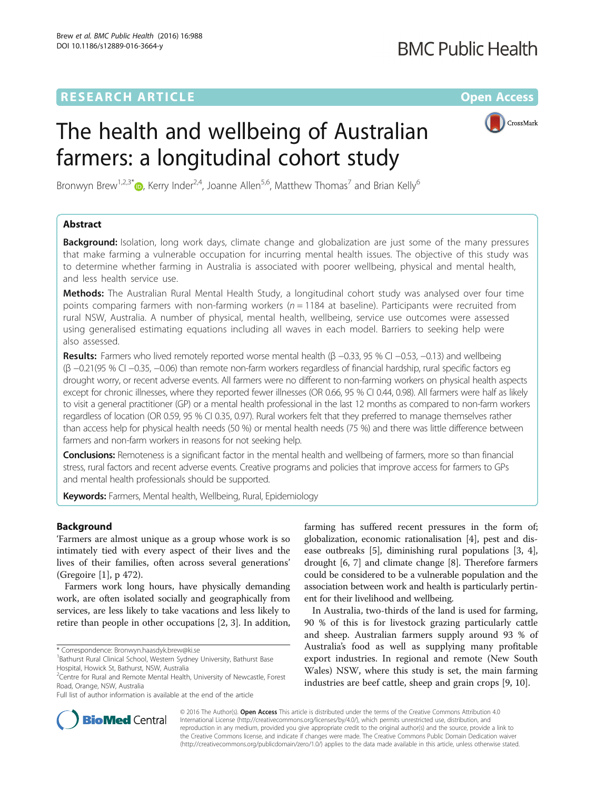## **RESEARCH ARTICLE External Structure Community Community Community Community Community Community Community Community**

# The health and wellbeing of Australian farmers: a longitudinal cohort study

CrossMark

Bronwyn Brew<sup>1,2,3\*</sup> $\bullet$ , Kerry Inder<sup>2,4</sup>, Joanne Allen<sup>5,6</sup>, Matthew Thomas<sup>7</sup> and Brian Kelly<sup>6</sup>

## Abstract

**Background:** Isolation, long work days, climate change and globalization are just some of the many pressures that make farming a vulnerable occupation for incurring mental health issues. The objective of this study was to determine whether farming in Australia is associated with poorer wellbeing, physical and mental health, and less health service use.

Methods: The Australian Rural Mental Health Study, a longitudinal cohort study was analysed over four time points comparing farmers with non-farming workers ( $n = 1184$  at baseline). Participants were recruited from rural NSW, Australia. A number of physical, mental health, wellbeing, service use outcomes were assessed using generalised estimating equations including all waves in each model. Barriers to seeking help were also assessed.

Results: Farmers who lived remotely reported worse mental health  $(\beta -0.33, 95\%$  CI −0.53, −0.13) and wellbeing (β −0.21(95 % CI −0.35, −0.06) than remote non-farm workers regardless of financial hardship, rural specific factors eg drought worry, or recent adverse events. All farmers were no different to non-farming workers on physical health aspects except for chronic illnesses, where they reported fewer illnesses (OR 0.66, 95 % CI 0.44, 0.98). All farmers were half as likely to visit a general practitioner (GP) or a mental health professional in the last 12 months as compared to non-farm workers regardless of location (OR 0.59, 95 % CI 0.35, 0.97). Rural workers felt that they preferred to manage themselves rather than access help for physical health needs (50 %) or mental health needs (75 %) and there was little difference between farmers and non-farm workers in reasons for not seeking help.

Conclusions: Remoteness is a significant factor in the mental health and wellbeing of farmers, more so than financial stress, rural factors and recent adverse events. Creative programs and policies that improve access for farmers to GPs and mental health professionals should be supported.

Keywords: Farmers, Mental health, Wellbeing, Rural, Epidemiology

## Background

'Farmers are almost unique as a group whose work is so intimately tied with every aspect of their lives and the lives of their families, often across several generations' (Gregoire [[1\]](#page-10-0), p 472).

Farmers work long hours, have physically demanding work, are often isolated socially and geographically from services, are less likely to take vacations and less likely to retire than people in other occupations [[2, 3\]](#page-10-0). In addition,

\* Correspondence: [Bronwyn.haasdyk.brew@ki.se](mailto:Bronwyn.haasdyk.brew@ki.se) <sup>1</sup>

farming has suffered recent pressures in the form of; globalization, economic rationalisation [[4](#page-10-0)], pest and disease outbreaks [[5](#page-10-0)], diminishing rural populations [\[3, 4](#page-10-0)], drought [\[6](#page-10-0), [7\]](#page-10-0) and climate change [\[8](#page-10-0)]. Therefore farmers could be considered to be a vulnerable population and the association between work and health is particularly pertinent for their livelihood and wellbeing.

In Australia, two-thirds of the land is used for farming, 90 % of this is for livestock grazing particularly cattle and sheep. Australian farmers supply around 93 % of Australia's food as well as supplying many profitable export industries. In regional and remote (New South Wales) NSW, where this study is set, the main farming industries are beef cattle, sheep and grain crops [[9, 10\]](#page-10-0).



© 2016 The Author(s). Open Access This article is distributed under the terms of the Creative Commons Attribution 4.0 International License [\(http://creativecommons.org/licenses/by/4.0/](http://creativecommons.org/licenses/by/4.0/)), which permits unrestricted use, distribution, and reproduction in any medium, provided you give appropriate credit to the original author(s) and the source, provide a link to the Creative Commons license, and indicate if changes were made. The Creative Commons Public Domain Dedication waiver [\(http://creativecommons.org/publicdomain/zero/1.0/](http://creativecommons.org/publicdomain/zero/1.0/)) applies to the data made available in this article, unless otherwise stated.

<sup>&</sup>lt;sup>1</sup>Bathurst Rural Clinical School, Western Sydney University, Bathurst Base Hospital, Howick St, Bathurst, NSW, Australia

<sup>&</sup>lt;sup>2</sup>Centre for Rural and Remote Mental Health, University of Newcastle, Forest Road, Orange, NSW, Australia

Full list of author information is available at the end of the article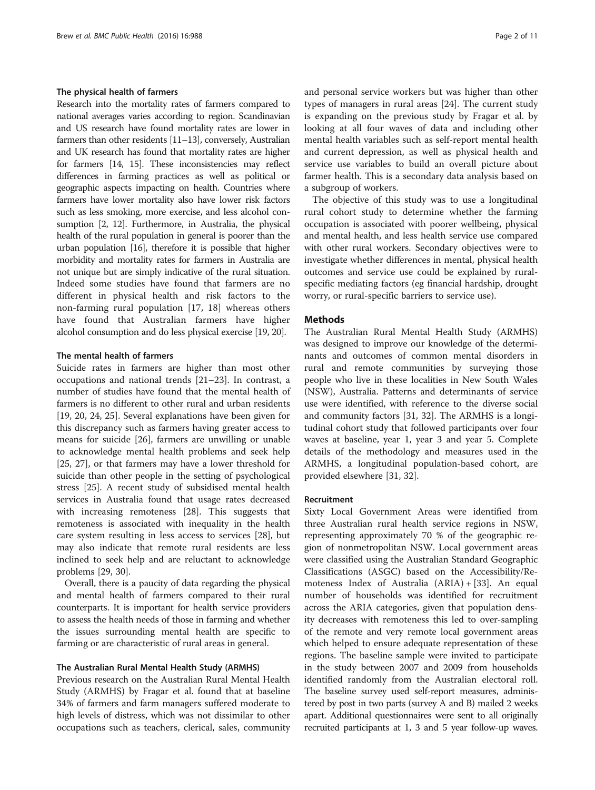#### The physical health of farmers

Research into the mortality rates of farmers compared to national averages varies according to region. Scandinavian and US research have found mortality rates are lower in farmers than other residents [[11](#page-10-0)–[13](#page-10-0)], conversely, Australian and UK research has found that mortality rates are higher for farmers [\[14, 15](#page-10-0)]. These inconsistencies may reflect differences in farming practices as well as political or geographic aspects impacting on health. Countries where farmers have lower mortality also have lower risk factors such as less smoking, more exercise, and less alcohol consumption [[2](#page-10-0), [12](#page-10-0)]. Furthermore, in Australia, the physical health of the rural population in general is poorer than the urban population [\[16\]](#page-10-0), therefore it is possible that higher morbidity and mortality rates for farmers in Australia are not unique but are simply indicative of the rural situation. Indeed some studies have found that farmers are no different in physical health and risk factors to the non-farming rural population [\[17](#page-10-0), [18](#page-10-0)] whereas others have found that Australian farmers have higher alcohol consumption and do less physical exercise [\[19, 20\]](#page-10-0).

## The mental health of farmers

Suicide rates in farmers are higher than most other occupations and national trends [[21](#page-10-0)–[23](#page-10-0)]. In contrast, a number of studies have found that the mental health of farmers is no different to other rural and urban residents [[19, 20, 24, 25](#page-10-0)]. Several explanations have been given for this discrepancy such as farmers having greater access to means for suicide [[26\]](#page-10-0), farmers are unwilling or unable to acknowledge mental health problems and seek help [[25, 27](#page-10-0)], or that farmers may have a lower threshold for suicide than other people in the setting of psychological stress [[25\]](#page-10-0). A recent study of subsidised mental health services in Australia found that usage rates decreased with increasing remoteness [[28](#page-10-0)]. This suggests that remoteness is associated with inequality in the health care system resulting in less access to services [[28\]](#page-10-0), but may also indicate that remote rural residents are less inclined to seek help and are reluctant to acknowledge problems [[29, 30\]](#page-10-0).

Overall, there is a paucity of data regarding the physical and mental health of farmers compared to their rural counterparts. It is important for health service providers to assess the health needs of those in farming and whether the issues surrounding mental health are specific to farming or are characteristic of rural areas in general.

#### The Australian Rural Mental Health Study (ARMHS)

Previous research on the Australian Rural Mental Health Study (ARMHS) by Fragar et al. found that at baseline 34% of farmers and farm managers suffered moderate to high levels of distress, which was not dissimilar to other occupations such as teachers, clerical, sales, community and personal service workers but was higher than other types of managers in rural areas [[24\]](#page-10-0). The current study is expanding on the previous study by Fragar et al. by looking at all four waves of data and including other mental health variables such as self-report mental health and current depression, as well as physical health and service use variables to build an overall picture about farmer health. This is a secondary data analysis based on a subgroup of workers.

The objective of this study was to use a longitudinal rural cohort study to determine whether the farming occupation is associated with poorer wellbeing, physical and mental health, and less health service use compared with other rural workers. Secondary objectives were to investigate whether differences in mental, physical health outcomes and service use could be explained by ruralspecific mediating factors (eg financial hardship, drought worry, or rural-specific barriers to service use).

#### Methods

The Australian Rural Mental Health Study (ARMHS) was designed to improve our knowledge of the determinants and outcomes of common mental disorders in rural and remote communities by surveying those people who live in these localities in New South Wales (NSW), Australia. Patterns and determinants of service use were identified, with reference to the diverse social and community factors [[31](#page-10-0), [32\]](#page-10-0). The ARMHS is a longitudinal cohort study that followed participants over four waves at baseline, year 1, year 3 and year 5. Complete details of the methodology and measures used in the ARMHS, a longitudinal population-based cohort, are provided elsewhere [\[31](#page-10-0), [32](#page-10-0)].

## Recruitment

Sixty Local Government Areas were identified from three Australian rural health service regions in NSW, representing approximately 70 % of the geographic region of nonmetropolitan NSW. Local government areas were classified using the Australian Standard Geographic Classifications (ASGC) based on the Accessibility/Remoteness Index of Australia (ARIA) + [\[33\]](#page-10-0). An equal number of households was identified for recruitment across the ARIA categories, given that population density decreases with remoteness this led to over-sampling of the remote and very remote local government areas which helped to ensure adequate representation of these regions. The baseline sample were invited to participate in the study between 2007 and 2009 from households identified randomly from the Australian electoral roll. The baseline survey used self-report measures, administered by post in two parts (survey A and B) mailed 2 weeks apart. Additional questionnaires were sent to all originally recruited participants at 1, 3 and 5 year follow-up waves.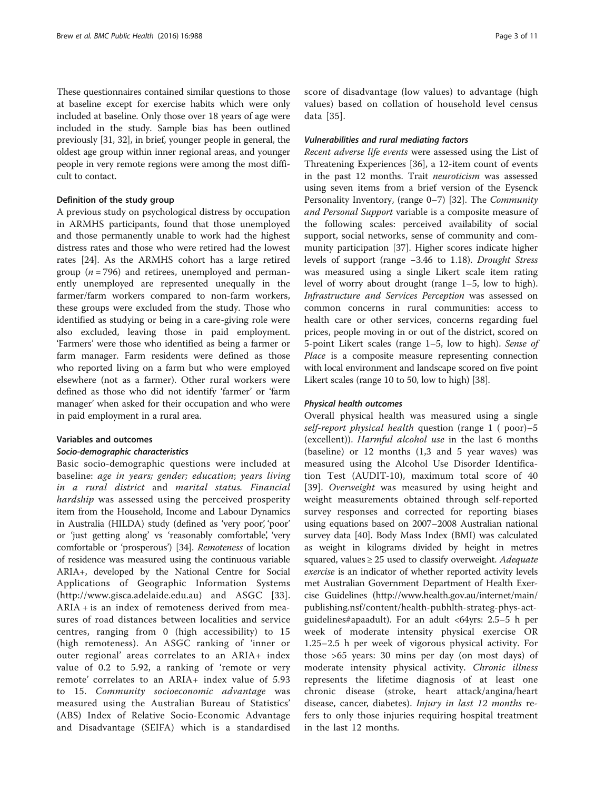These questionnaires contained similar questions to those at baseline except for exercise habits which were only included at baseline. Only those over 18 years of age were included in the study. Sample bias has been outlined previously [\[31, 32](#page-10-0)], in brief, younger people in general, the oldest age group within inner regional areas, and younger people in very remote regions were among the most difficult to contact.

## Definition of the study group

A previous study on psychological distress by occupation in ARMHS participants, found that those unemployed and those permanently unable to work had the highest distress rates and those who were retired had the lowest rates [\[24](#page-10-0)]. As the ARMHS cohort has a large retired group ( $n = 796$ ) and retirees, unemployed and permanently unemployed are represented unequally in the farmer/farm workers compared to non-farm workers, these groups were excluded from the study. Those who identified as studying or being in a care-giving role were also excluded, leaving those in paid employment. 'Farmers' were those who identified as being a farmer or farm manager. Farm residents were defined as those who reported living on a farm but who were employed elsewhere (not as a farmer). Other rural workers were defined as those who did not identify 'farmer' or 'farm manager' when asked for their occupation and who were in paid employment in a rural area.

#### Variables and outcomes

## Socio-demographic characteristics

Basic socio-demographic questions were included at baseline: age in years; gender; education; years living in a rural district and marital status. Financial hardship was assessed using the perceived prosperity item from the Household, Income and Labour Dynamics in Australia (HILDA) study (defined as 'very poor', 'poor' or 'just getting along' vs 'reasonably comfortable', 'very comfortable or 'prosperous') [\[34\]](#page-10-0). Remoteness of location of residence was measured using the continuous variable ARIA+, developed by the National Centre for Social Applications of Geographic Information Systems ([http://www.gisca.adelaide.edu.au](http://www.gisca.adelaide.edu.au/)) and ASGC [[33](#page-10-0)]. ARIA + is an index of remoteness derived from measures of road distances between localities and service centres, ranging from 0 (high accessibility) to 15 (high remoteness). An ASGC ranking of 'inner or outer regional' areas correlates to an ARIA+ index value of 0.2 to 5.92, a ranking of 'remote or very remote' correlates to an ARIA+ index value of 5.93 to 15. Community socioeconomic advantage was measured using the Australian Bureau of Statistics' (ABS) Index of Relative Socio-Economic Advantage and Disadvantage (SEIFA) which is a standardised score of disadvantage (low values) to advantage (high values) based on collation of household level census data [[35](#page-10-0)].

## Vulnerabilities and rural mediating factors

Recent adverse life events were assessed using the List of Threatening Experiences [\[36\]](#page-10-0), a 12-item count of events in the past 12 months. Trait neuroticism was assessed using seven items from a brief version of the Eysenck Personality Inventory, (range 0–7) [[32](#page-10-0)]. The Community and Personal Support variable is a composite measure of the following scales: perceived availability of social support, social networks, sense of community and community participation [[37](#page-10-0)]. Higher scores indicate higher levels of support (range −3.46 to 1.18). Drought Stress was measured using a single Likert scale item rating level of worry about drought (range 1–5, low to high). Infrastructure and Services Perception was assessed on common concerns in rural communities: access to health care or other services, concerns regarding fuel prices, people moving in or out of the district, scored on 5-point Likert scales (range 1–5, low to high). Sense of Place is a composite measure representing connection with local environment and landscape scored on five point Likert scales (range 10 to 50, low to high) [[38](#page-10-0)].

## Physical health outcomes

Overall physical health was measured using a single self-report physical health question (range 1 ( poor)-5 (excellent)). Harmful alcohol use in the last 6 months (baseline) or 12 months (1,3 and 5 year waves) was measured using the Alcohol Use Disorder Identification Test (AUDIT-10), maximum total score of 40 [[39\]](#page-10-0). Overweight was measured by using height and weight measurements obtained through self-reported survey responses and corrected for reporting biases using equations based on 2007–2008 Australian national survey data [\[40\]](#page-10-0). Body Mass Index (BMI) was calculated as weight in kilograms divided by height in metres squared, values  $\geq 25$  used to classify overweight. Adequate exercise is an indicator of whether reported activity levels met Australian Government Department of Health Exercise Guidelines [\(http://www.health.gov.au/internet/main/](http://www.health.gov.au/internet/main/publishing.nsf/content/health-pubhlth-strateg-phys-act-guidelines#apaadult) [publishing.nsf/content/health-pubhlth-strateg-phys-act](http://www.health.gov.au/internet/main/publishing.nsf/content/health-pubhlth-strateg-phys-act-guidelines#apaadult)[guidelines#apaadult\)](http://www.health.gov.au/internet/main/publishing.nsf/content/health-pubhlth-strateg-phys-act-guidelines#apaadult). For an adult <64yrs: 2.5–5 h per week of moderate intensity physical exercise OR 1.25–2.5 h per week of vigorous physical activity. For those >65 years: 30 mins per day (on most days) of moderate intensity physical activity. Chronic illness represents the lifetime diagnosis of at least one chronic disease (stroke, heart attack/angina/heart disease, cancer, diabetes). Injury in last 12 months refers to only those injuries requiring hospital treatment in the last 12 months.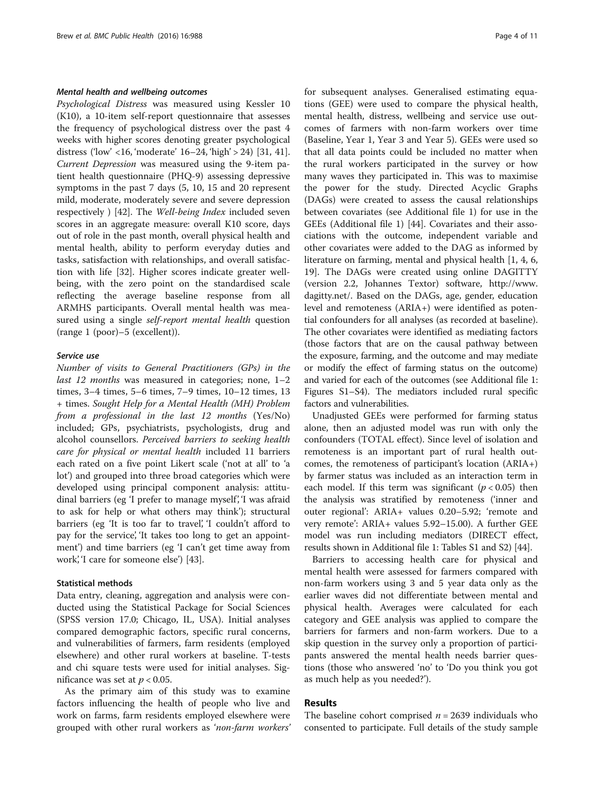### Mental health and wellbeing outcomes

Psychological Distress was measured using Kessler 10 (K10), a 10-item self-report questionnaire that assesses the frequency of psychological distress over the past 4 weeks with higher scores denoting greater psychological distress ('low' <16, 'moderate' 16–24, 'high' > 24) [\[31, 41](#page-10-0)]. Current Depression was measured using the 9-item patient health questionnaire (PHQ-9) assessing depressive symptoms in the past 7 days (5, 10, 15 and 20 represent mild, moderate, moderately severe and severe depression respectively ) [[42](#page-10-0)]. The Well-being Index included seven scores in an aggregate measure: overall K10 score, days out of role in the past month, overall physical health and mental health, ability to perform everyday duties and tasks, satisfaction with relationships, and overall satisfaction with life [[32](#page-10-0)]. Higher scores indicate greater wellbeing, with the zero point on the standardised scale reflecting the average baseline response from all ARMHS participants. Overall mental health was measured using a single self-report mental health question (range 1 (poor)–5 (excellent)).

## Service use

Number of visits to General Practitioners (GPs) in the *last 12 months* was measured in categories; none,  $1-2$ times, 3–4 times, 5–6 times, 7–9 times, 10–12 times, 13 + times. Sought Help for a Mental Health (MH) Problem from a professional in the last 12 months (Yes/No) included; GPs, psychiatrists, psychologists, drug and alcohol counsellors. Perceived barriers to seeking health care for physical or mental health included 11 barriers each rated on a five point Likert scale ('not at all' to 'a lot') and grouped into three broad categories which were developed using principal component analysis: attitudinal barriers (eg 'I prefer to manage myself', 'I was afraid to ask for help or what others may think'); structural barriers (eg 'It is too far to travel', 'I couldn't afford to pay for the service', 'It takes too long to get an appointment') and time barriers (eg 'I can't get time away from work', 'I care for someone else') [\[43](#page-10-0)].

## Statistical methods

Data entry, cleaning, aggregation and analysis were conducted using the Statistical Package for Social Sciences (SPSS version 17.0; Chicago, IL, USA). Initial analyses compared demographic factors, specific rural concerns, and vulnerabilities of farmers, farm residents (employed elsewhere) and other rural workers at baseline. T-tests and chi square tests were used for initial analyses. Significance was set at  $p < 0.05$ .

As the primary aim of this study was to examine factors influencing the health of people who live and work on farms, farm residents employed elsewhere were grouped with other rural workers as 'non-farm workers' for subsequent analyses. Generalised estimating equations (GEE) were used to compare the physical health, mental health, distress, wellbeing and service use outcomes of farmers with non-farm workers over time (Baseline, Year 1, Year 3 and Year 5). GEEs were used so that all data points could be included no matter when the rural workers participated in the survey or how many waves they participated in. This was to maximise the power for the study. Directed Acyclic Graphs (DAGs) were created to assess the causal relationships between covariates (see Additional file [1](#page-9-0)) for use in the GEEs (Additional file [1](#page-9-0)) [\[44](#page-10-0)]. Covariates and their associations with the outcome, independent variable and other covariates were added to the DAG as informed by literature on farming, mental and physical health [\[1](#page-10-0), [4](#page-10-0), [6](#page-10-0), [19\]](#page-10-0). The DAGs were created using online DAGITTY (version 2.2, Johannes Textor) software, [http://www.](http://www.dagitty.net/) [dagitty.net/.](http://www.dagitty.net/) Based on the DAGs, age, gender, education level and remoteness (ARIA+) were identified as potential confounders for all analyses (as recorded at baseline). The other covariates were identified as mediating factors (those factors that are on the causal pathway between the exposure, farming, and the outcome and may mediate or modify the effect of farming status on the outcome) and varied for each of the outcomes (see Additional file [1](#page-9-0): Figures S1–S4). The mediators included rural specific factors and vulnerabilities.

Unadjusted GEEs were performed for farming status alone, then an adjusted model was run with only the confounders (TOTAL effect). Since level of isolation and remoteness is an important part of rural health outcomes, the remoteness of participant's location (ARIA+) by farmer status was included as an interaction term in each model. If this term was significant ( $p < 0.05$ ) then the analysis was stratified by remoteness ('inner and outer regional': ARIA+ values 0.20–5.92; 'remote and very remote': ARIA+ values 5.92–15.00). A further GEE model was run including mediators (DIRECT effect, results shown in Additional file [1](#page-9-0): Tables S1 and S2) [\[44\]](#page-10-0).

Barriers to accessing health care for physical and mental health were assessed for farmers compared with non-farm workers using 3 and 5 year data only as the earlier waves did not differentiate between mental and physical health. Averages were calculated for each category and GEE analysis was applied to compare the barriers for farmers and non-farm workers. Due to a skip question in the survey only a proportion of participants answered the mental health needs barrier questions (those who answered 'no' to 'Do you think you got as much help as you needed?').

## Results

The baseline cohort comprised  $n = 2639$  individuals who consented to participate. Full details of the study sample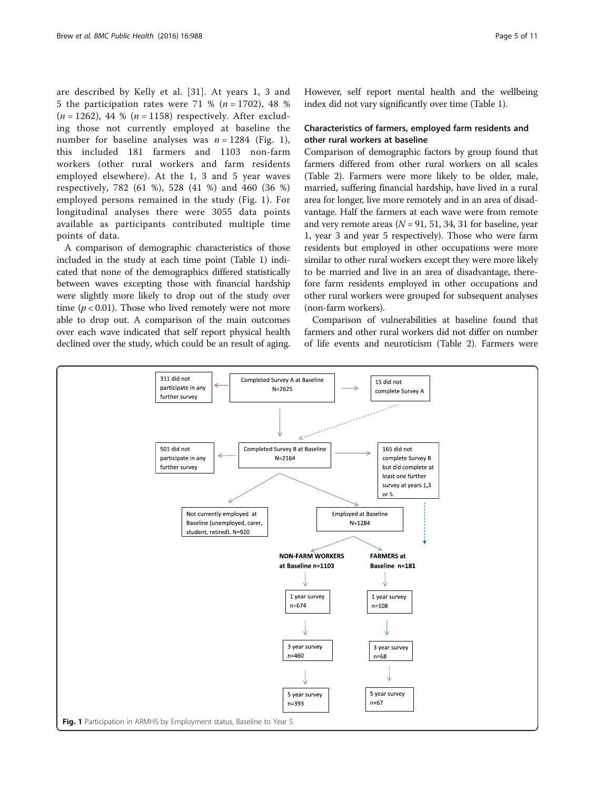are described by Kelly et al. [[31](#page-10-0)]. At years 1, 3 and 5 the participation rates were 71 % ( $n = 1702$ ), 48 %  $(n = 1262)$ , 44 %  $(n = 1158)$  respectively. After excluding those not currently employed at baseline the number for baseline analyses was  $n = 1284$  (Fig. 1), this included 181 farmers and 1103 non-farm workers (other rural workers and farm residents employed elsewhere). At the 1, 3 and 5 year waves respectively, 782 (61 %), 528 (41 %) and 460 (36 %) employed persons remained in the study (Fig. 1). For longitudinal analyses there were 3055 data points available as participants contributed multiple time points of data.

A comparison of demographic characteristics of those included in the study at each time point (Table [1](#page-5-0)) indicated that none of the demographics differed statistically between waves excepting those with financial hardship were slightly more likely to drop out of the study over time ( $p < 0.01$ ). Those who lived remotely were not more able to drop out. A comparison of the main outcomes over each wave indicated that self report physical health declined over the study, which could be an result of aging.

However, self report mental health and the wellbeing index did not vary significantly over time (Table [1](#page-5-0)).

## Characteristics of farmers, employed farm residents and other rural workers at baseline

Comparison of demographic factors by group found that farmers differed from other rural workers on all scales (Table [2](#page-5-0)). Farmers were more likely to be older, male, married, suffering financial hardship, have lived in a rural area for longer, live more remotely and in an area of disadvantage. Half the farmers at each wave were from remote and very remote areas ( $N = 91, 51, 34, 31$  for baseline, year 1, year 3 and year 5 respectively). Those who were farm residents but employed in other occupations were more similar to other rural workers except they were more likely to be married and live in an area of disadvantage, therefore farm residents employed in other occupations and other rural workers were grouped for subsequent analyses (non-farm workers).

Comparison of vulnerabilities at baseline found that farmers and other rural workers did not differ on number of life events and neuroticism (Table [2](#page-5-0)). Farmers were

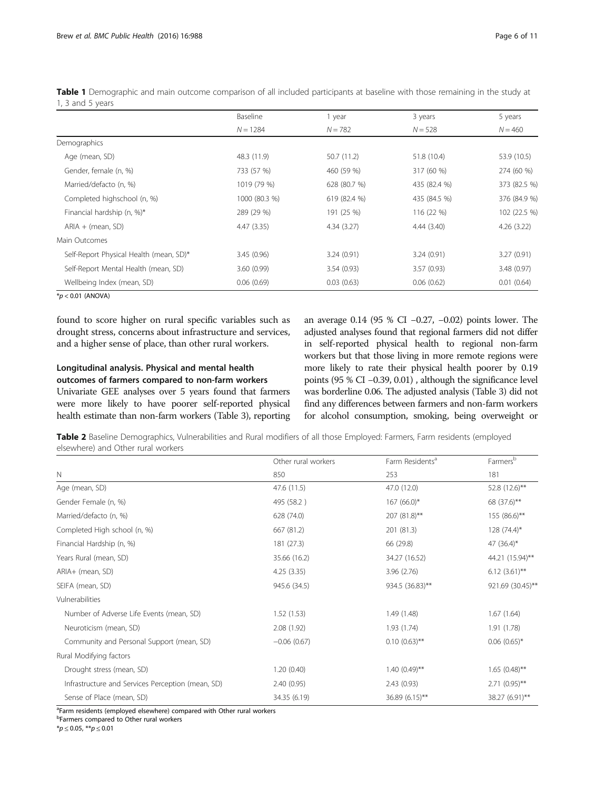<span id="page-5-0"></span>

|                  |                                                                                                                               | <b>Docolino</b> | $1 \cdot \cdots \cdot$ | $2 \cdot 225$ | $\Gamma$ voore |
|------------------|-------------------------------------------------------------------------------------------------------------------------------|-----------------|------------------------|---------------|----------------|
| 1, 3 and 5 years |                                                                                                                               |                 |                        |               |                |
|                  | Table 1 Demographic and main outcome comparison of all included participants at baseline with those remaining in the study at |                 |                        |               |                |

|                                         | Baseline<br>$N = 1284$ | 1 year       | 3 years      | 5 years      |
|-----------------------------------------|------------------------|--------------|--------------|--------------|
|                                         |                        | $N = 782$    | $N = 528$    | $N = 460$    |
| Demographics                            |                        |              |              |              |
| Age (mean, SD)                          | 48.3 (11.9)            | 50.7(11.2)   | 51.8 (10.4)  | 53.9 (10.5)  |
| Gender, female (n, %)                   | 733 (57 %)             | 460 (59 %)   | 317 (60 %)   | 274 (60 %)   |
| Married/defacto (n, %)                  | 1019 (79 %)            | 628 (80.7 %) | 435 (82.4 %) | 373 (82.5 %) |
| Completed highschool (n, %)             | 1000 (80.3 %)          | 619 (82.4 %) | 435 (84.5 %) | 376 (84.9 %) |
| Financial hardship (n, %)*              | 289 (29 %)             | 191 (25 %)   | 116 (22 %)   | 102 (22.5 %) |
| $ARIA + (mean, SD)$                     | 4.47(3.35)             | 4.34(3.27)   | 4.44(3.40)   | 4.26(3.22)   |
| Main Outcomes                           |                        |              |              |              |
| Self-Report Physical Health (mean, SD)* | 3.45(0.96)             | 3.24(0.91)   | 3.24(0.91)   | 3.27(0.91)   |
| Self-Report Mental Health (mean, SD)    | 3.60(0.99)             | 3.54(0.93)   | 3.57 (0.93)  | 3.48 (0.97)  |
| Wellbeing Index (mean, SD)              | 0.06(0.69)             | 0.03(0.63)   | 0.06(0.62)   | 0.01(0.64)   |

 $*_{p < 0.01}$  (ANOVA)

found to score higher on rural specific variables such as drought stress, concerns about infrastructure and services, and a higher sense of place, than other rural workers.

## Longitudinal analysis. Physical and mental health outcomes of farmers compared to non-farm workers

Univariate GEE analyses over 5 years found that farmers were more likely to have poorer self-reported physical health estimate than non-farm workers (Table [3](#page-6-0)), reporting

an average 0.14 (95 % CI −0.27, −0.02) points lower. The adjusted analyses found that regional farmers did not differ in self-reported physical health to regional non-farm workers but that those living in more remote regions were more likely to rate their physical health poorer by 0.19 points (95 % CI −0.39, 0.01) , although the significance level was borderline 0.06. The adjusted analysis (Table [3](#page-6-0)) did not find any differences between farmers and non-farm workers for alcohol consumption, smoking, being overweight or

Table 2 Baseline Demographics, Vulnerabilities and Rural modifiers of all those Employed: Farmers, Farm residents (employed elsewhere) and Other rural workers

|                                                   | Other rural workers | Farm Residents <sup>a</sup> | Farmers <sup>b</sup> |
|---------------------------------------------------|---------------------|-----------------------------|----------------------|
| $\mathbb N$                                       | 850                 | 253                         | 181                  |
| Age (mean, SD)                                    | 47.6 (11.5)         | 47.0 (12.0)                 | 52.8 (12.6)**        |
| Gender Female (n, %)                              | 495 (58.2)          | $167 (66.0)^*$              | 68 (37.6)**          |
| Married/defacto (n, %)                            | 628 (74.0)          | 207 (81.8)**                | 155 (86.6)**         |
| Completed High school (n, %)                      | 667 (81.2)          | 201 (81.3)                  | $128(74.4)^*$        |
| Financial Hardship (n, %)                         | 181 (27.3)          | 66 (29.8)                   | 47 $(36.4)^*$        |
| Years Rural (mean, SD)                            | 35.66 (16.2)        | 34.27 (16.52)               | 44.21 (15.94)**      |
| ARIA+ (mean, SD)                                  | 4.25(3.35)          | 3.96 (2.76)                 | $6.12(3.61)$ **      |
| SEIFA (mean, SD)                                  | 945.6 (34.5)        | 934.5 (36.83)**             | 921.69 (30.45)**     |
| Vulnerabilities                                   |                     |                             |                      |
| Number of Adverse Life Events (mean, SD)          | 1.52(1.53)          | 1.49 (1.48)                 | 1.67(1.64)           |
| Neuroticism (mean, SD)                            | 2.08(1.92)          | 1.93(1.74)                  | 1.91(1.78)           |
| Community and Personal Support (mean, SD)         | $-0.06(0.67)$       | $0.10(0.63)$ **             | $0.06$ $(0.65)$ *    |
| Rural Modifying factors                           |                     |                             |                      |
| Drought stress (mean, SD)                         | 1.20(0.40)          | $1.40(0.49)$ **             | $1.65$ (0.48)**      |
| Infrastructure and Services Perception (mean, SD) | 2.40(0.95)          | 2.43(0.93)                  | $2.71(0.95)$ **      |
| Sense of Place (mean, SD)                         | 34.35 (6.19)        | 36.89 (6.15)**              | 38.27 (6.91)**       |

<sup>a</sup>Farm residents (employed elsewhere) compared with Other rural workers

**b**Farmers compared to Other rural workers

 $**p* \le 0.05$ ,  $***p* \le 0.01$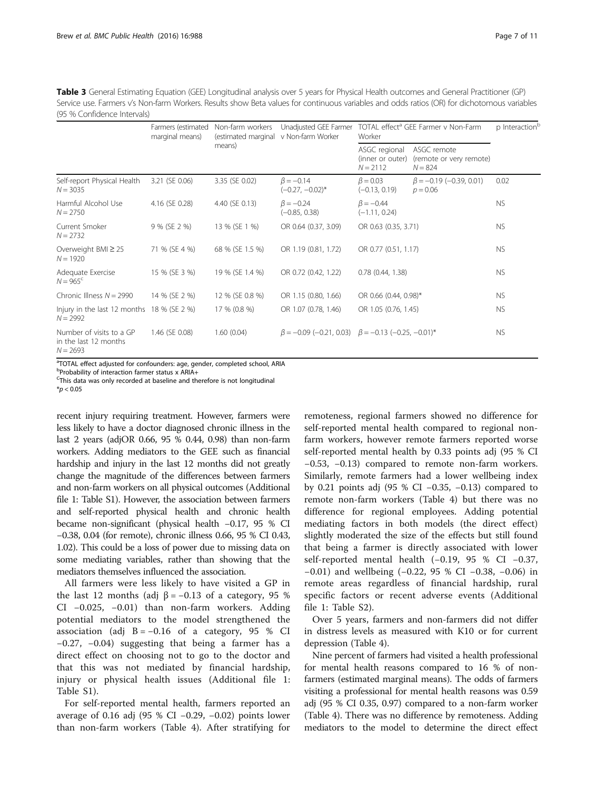<span id="page-6-0"></span>Table 3 General Estimating Equation (GEE) Longitudinal analysis over 5 years for Physical Health outcomes and General Practitioner (GP) Service use. Farmers v's Non-farm Workers. Results show Beta values for continuous variables and odds ratios (OR) for dichotomous variables (95 % Confidence Intervals)

|                                                                 | Farmers (estimated<br>marginal means) | Non-farm workers<br>(estimated marginal | Unadjusted GEE Farmer<br>v Non-farm Worker                    | TOTAL effect <sup>a</sup> GEE Farmer v Non-Farm<br>Worker | p Interaction <sup>t</sup>                          |           |
|-----------------------------------------------------------------|---------------------------------------|-----------------------------------------|---------------------------------------------------------------|-----------------------------------------------------------|-----------------------------------------------------|-----------|
|                                                                 |                                       | means)                                  |                                                               | ASGC regional<br>(inner or outer)<br>$N = 2112$           | ASGC remote<br>(remote or very remote)<br>$N = 824$ |           |
| Self-report Physical Health<br>$N = 3035$                       | 3.21 (SE 0.06)                        | 3.35 (SE 0.02)                          | $\beta = -0.14$<br>$(-0.27, -0.02)^*$                         | $\beta = 0.03$<br>$(-0.13, 0.19)$                         | $\beta = -0.19$ (-0.39, 0.01)<br>$p = 0.06$         | 0.02      |
| Harmful Alcohol Use<br>$N = 2750$                               | 4.16 (SE 0.28)                        | 4.40 (SE 0.13)                          | $\beta = -0.24$<br>$(-0.85, 0.38)$                            | $\beta = -0.44$<br>$(-1.11, 0.24)$                        |                                                     | <b>NS</b> |
| Current Smoker<br>$N = 2732$                                    | 9 % (SE 2 %)                          | 13 % (SE 1 %)                           | OR 0.64 (0.37, 3.09)                                          | OR 0.63 (0.35, 3.71)                                      |                                                     | <b>NS</b> |
| Overweight $BMI \geq 25$<br>$N = 1920$                          | 71 % (SE 4 %)                         | 68 % (SE 1.5 %)                         | OR 1.19 (0.81, 1.72)                                          | OR 0.77 (0.51, 1.17)                                      |                                                     | <b>NS</b> |
| Adequate Exercise<br>$N = 965^{\circ}$                          | 15 % (SE 3 %)                         | 19 % (SE 1.4 %)                         | OR 0.72 (0.42, 1.22)                                          | $0.78$ $(0.44, 1.38)$                                     |                                                     | <b>NS</b> |
| Chronic Illness $N = 2990$                                      | 14 % (SE 2 %)                         | 12 % (SE 0.8 %)                         | OR 1.15 (0.80, 1.66)                                          | OR 0.66 (0.44, 0.98)*                                     |                                                     | <b>NS</b> |
| Injury in the last 12 months 18 % (SE 2 %)<br>$N = 2992$        |                                       | 17 % (0.8 %)                            | OR 1.07 (0.78, 1.46)                                          | OR 1.05 (0.76, 1.45)                                      |                                                     | <b>NS</b> |
| Number of visits to a GP<br>in the last 12 months<br>$N = 2693$ | 1.46 (SE 0.08)                        | 1.60(0.04)                              | $\beta = -0.09$ (-0.21, 0.03) $\beta = -0.13$ (-0.25, -0.01)* |                                                           |                                                     | <b>NS</b> |

<sup>a</sup>TOTAL effect adjusted for confounders: age, gender, completed school, ARIA

b<br>Probability of interaction farmer status x ARIA+

<sup>C</sup>This data was only recorded at baseline and therefore is not longitudinal

 $*p < 0.05$ 

recent injury requiring treatment. However, farmers were less likely to have a doctor diagnosed chronic illness in the last 2 years (adjOR 0.66, 95 % 0.44, 0.98) than non-farm workers. Adding mediators to the GEE such as financial hardship and injury in the last 12 months did not greatly change the magnitude of the differences between farmers and non-farm workers on all physical outcomes (Additional file [1](#page-9-0): Table S1). However, the association between farmers and self-reported physical health and chronic health became non-significant (physical health −0.17, 95 % CI −0.38, 0.04 (for remote), chronic illness 0.66, 95 % CI 0.43, 1.02). This could be a loss of power due to missing data on some mediating variables, rather than showing that the mediators themselves influenced the association.

All farmers were less likely to have visited a GP in the last 12 months (adj  $β = -0.13$  of a category, 95 % CI −0.025, −0.01) than non-farm workers. Adding potential mediators to the model strengthened the association (adj  $B = -0.16$  of a category, 95 % CI −0.27, −0.04) suggesting that being a farmer has a direct effect on choosing not to go to the doctor and that this was not mediated by financial hardship, injury or physical health issues (Additional file [1](#page-9-0): Table S1).

For self-reported mental health, farmers reported an average of 0.16 adj (95 % CI −0.29, −0.02) points lower than non-farm workers (Table [4\)](#page-7-0). After stratifying for

remoteness, regional farmers showed no difference for self-reported mental health compared to regional nonfarm workers, however remote farmers reported worse self-reported mental health by 0.33 points adj (95 % CI −0.53, −0.13) compared to remote non-farm workers. Similarly, remote farmers had a lower wellbeing index by 0.21 points adj (95 % CI −0.35, −0.13) compared to remote non-farm workers (Table [4](#page-7-0)) but there was no difference for regional employees. Adding potential mediating factors in both models (the direct effect) slightly moderated the size of the effects but still found that being a farmer is directly associated with lower self-reported mental health (-0.19, 95 % CI -0.37, −0.01) and wellbeing (−0.22, 95 % CI −0.38, −0.06) in remote areas regardless of financial hardship, rural specific factors or recent adverse events (Additional file [1](#page-9-0): Table S2).

Over 5 years, farmers and non-farmers did not differ in distress levels as measured with K10 or for current depression (Table [4](#page-7-0)).

Nine percent of farmers had visited a health professional for mental health reasons compared to 16 % of nonfarmers (estimated marginal means). The odds of farmers visiting a professional for mental health reasons was 0.59 adj (95 % CI 0.35, 0.97) compared to a non-farm worker (Table [4](#page-7-0)). There was no difference by remoteness. Adding mediators to the model to determine the direct effect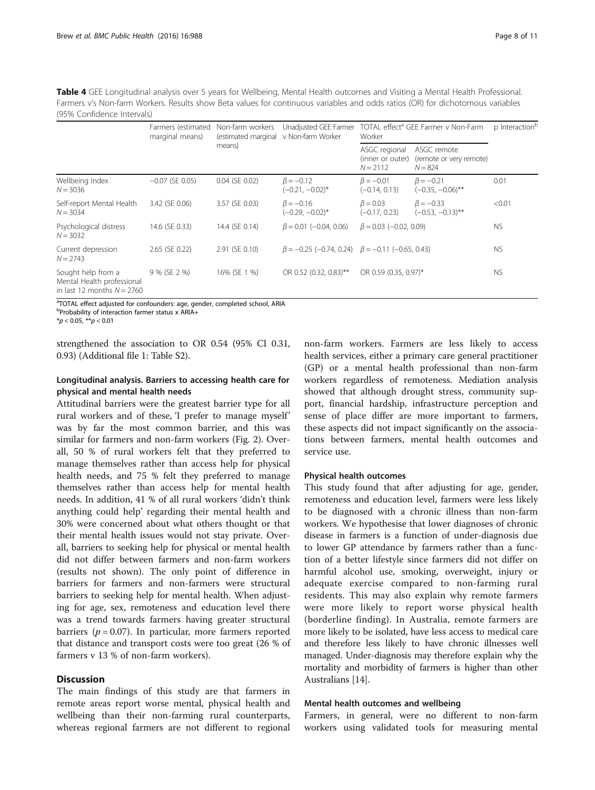<span id="page-7-0"></span>Table 4 GEE Longitudinal analysis over 5 years for Wellbeing, Mental Health outcomes and Visiting a Mental Health Professional. Farmers v's Non-farm Workers. Results show Beta values for continuous variables and odds ratios (OR) for dichotomous variables (95% Confidence Intervals)

|                                                                                  | Farmers (estimated<br>marginal means) | Non-farm workers<br>(estimated marginal v Non-farm Worker<br>means) | Unadjusted GEE Farmer TOTAL effect <sup>a</sup> GEE Farmer v Non-Farm | Worker                                                      | p Interaction <sup>b</sup>                          |           |
|----------------------------------------------------------------------------------|---------------------------------------|---------------------------------------------------------------------|-----------------------------------------------------------------------|-------------------------------------------------------------|-----------------------------------------------------|-----------|
|                                                                                  |                                       |                                                                     |                                                                       | ASGC regional<br>(inner or outer)<br>$N = 2112$             | ASGC remote<br>(remote or very remote)<br>$N = 824$ |           |
| Wellbeing Index<br>$N = 3036$                                                    | $-0.07$ (SE 0.05)                     | $0.04$ (SE $0.02$ )                                                 | $\beta = -0.12$<br>$(-0.21, -0.02)^*$                                 | $\beta = -0.01$<br>$(-0.14, 0.13)$                          | $\beta = -0.21$<br>$(-0.35, -0.06)$ **              | 0.01      |
| Self-report Mental Health<br>$N = 3034$                                          | 3.42 (SE 0.06)                        | 3.57 (SE 0.03)                                                      | $\beta = -0.16$<br>$(-0.29, -0.02)$ *                                 | $\beta$ = 0.03<br>$(-0.17, 0.23)$                           | $\beta = -0.33$<br>$(-0.53, -0.13)$ **              | < 0.01    |
| Psychological distress<br>$N = 3032$                                             | 14.6 (SE 0.33)                        | 14.4 (SE 0.14)                                                      | $\beta$ = 0.01 (-0.04, 0.06)                                          | $\beta$ = 0.03 (-0.02, 0.09)                                |                                                     | <b>NS</b> |
| Current depression<br>$N = 2743$                                                 | 2.65 (SE 0.22)                        | 2.91 (SE 0.10)                                                      |                                                                       | $\beta = -0.25$ (-0.74, 0.24) $\beta = -0.11$ (-0.65, 0.43) |                                                     | <b>NS</b> |
| Sought help from a<br>Mental Health professional<br>in last 12 months $N = 2760$ | 9 % (SE 2 %)                          | 16% (SE 1 %)                                                        | OR 0.52 (0.32, 0.83)**                                                | OR 0.59 (0.35, 0.97)*                                       |                                                     | <b>NS</b> |

<sup>a</sup>TOTAL effect adjusted for confounders: age, gender, completed school, ARIA

bProbability of interaction farmer status x ARIA+

 $*p < 0.05$ ,  $**p < 0.01$ 

strengthened the association to OR 0.54 (95% CI 0.31, 0.93) (Additional file [1](#page-9-0): Table S2).

## Longitudinal analysis. Barriers to accessing health care for physical and mental health needs

Attitudinal barriers were the greatest barrier type for all rural workers and of these, 'I prefer to manage myself' was by far the most common barrier, and this was similar for farmers and non-farm workers (Fig. [2](#page-8-0)). Overall, 50 % of rural workers felt that they preferred to manage themselves rather than access help for physical health needs, and 75 % felt they preferred to manage themselves rather than access help for mental health needs. In addition, 41 % of all rural workers 'didn't think anything could help' regarding their mental health and 30% were concerned about what others thought or that their mental health issues would not stay private. Overall, barriers to seeking help for physical or mental health did not differ between farmers and non-farm workers (results not shown). The only point of difference in barriers for farmers and non-farmers were structural barriers to seeking help for mental health. When adjusting for age, sex, remoteness and education level there was a trend towards farmers having greater structural barriers ( $p = 0.07$ ). In particular, more farmers reported that distance and transport costs were too great (26 % of farmers v 13 % of non-farm workers).

## **Discussion**

The main findings of this study are that farmers in remote areas report worse mental, physical health and wellbeing than their non-farming rural counterparts, whereas regional farmers are not different to regional

non-farm workers. Farmers are less likely to access health services, either a primary care general practitioner (GP) or a mental health professional than non-farm workers regardless of remoteness. Mediation analysis showed that although drought stress, community support, financial hardship, infrastructure perception and sense of place differ are more important to farmers, these aspects did not impact significantly on the associations between farmers, mental health outcomes and service use.

#### Physical health outcomes

This study found that after adjusting for age, gender, remoteness and education level, farmers were less likely to be diagnosed with a chronic illness than non-farm workers. We hypothesise that lower diagnoses of chronic disease in farmers is a function of under-diagnosis due to lower GP attendance by farmers rather than a function of a better lifestyle since farmers did not differ on harmful alcohol use, smoking, overweight, injury or adequate exercise compared to non-farming rural residents. This may also explain why remote farmers were more likely to report worse physical health (borderline finding). In Australia, remote farmers are more likely to be isolated, have less access to medical care and therefore less likely to have chronic illnesses well managed. Under-diagnosis may therefore explain why the mortality and morbidity of farmers is higher than other Australians [\[14](#page-10-0)].

#### Mental health outcomes and wellbeing

Farmers, in general, were no different to non-farm workers using validated tools for measuring mental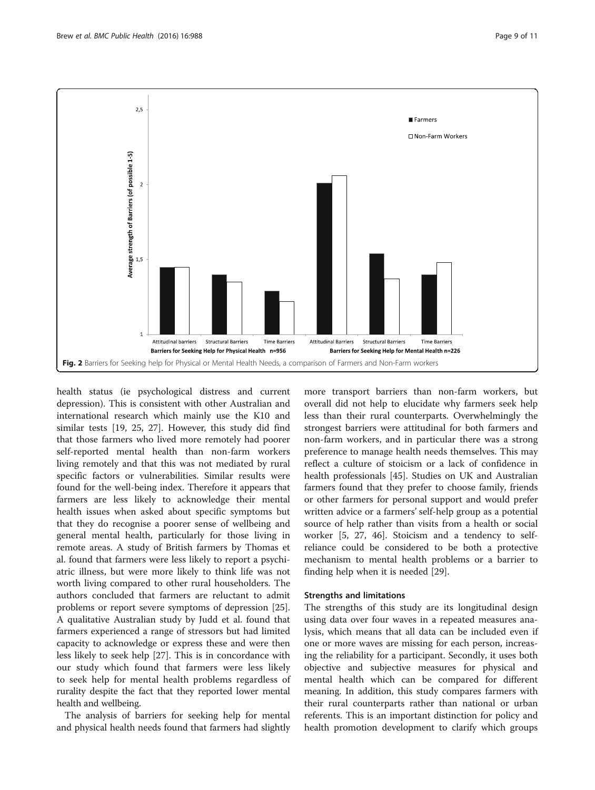<span id="page-8-0"></span>

health status (ie psychological distress and current depression). This is consistent with other Australian and international research which mainly use the K10 and similar tests [\[19](#page-10-0), [25, 27](#page-10-0)]. However, this study did find that those farmers who lived more remotely had poorer self-reported mental health than non-farm workers living remotely and that this was not mediated by rural specific factors or vulnerabilities. Similar results were found for the well-being index. Therefore it appears that farmers are less likely to acknowledge their mental health issues when asked about specific symptoms but that they do recognise a poorer sense of wellbeing and general mental health, particularly for those living in remote areas. A study of British farmers by Thomas et al. found that farmers were less likely to report a psychiatric illness, but were more likely to think life was not worth living compared to other rural householders. The authors concluded that farmers are reluctant to admit problems or report severe symptoms of depression [\[25](#page-10-0)]. A qualitative Australian study by Judd et al. found that farmers experienced a range of stressors but had limited capacity to acknowledge or express these and were then less likely to seek help [\[27\]](#page-10-0). This is in concordance with our study which found that farmers were less likely to seek help for mental health problems regardless of rurality despite the fact that they reported lower mental health and wellbeing.

The analysis of barriers for seeking help for mental and physical health needs found that farmers had slightly

more transport barriers than non-farm workers, but overall did not help to elucidate why farmers seek help less than their rural counterparts. Overwhelmingly the strongest barriers were attitudinal for both farmers and non-farm workers, and in particular there was a strong preference to manage health needs themselves. This may reflect a culture of stoicism or a lack of confidence in health professionals [\[45](#page-10-0)]. Studies on UK and Australian farmers found that they prefer to choose family, friends or other farmers for personal support and would prefer written advice or a farmers' self-help group as a potential source of help rather than visits from a health or social worker [\[5](#page-10-0), [27, 46\]](#page-10-0). Stoicism and a tendency to selfreliance could be considered to be both a protective mechanism to mental health problems or a barrier to finding help when it is needed [[29\]](#page-10-0).

## Strengths and limitations

The strengths of this study are its longitudinal design using data over four waves in a repeated measures analysis, which means that all data can be included even if one or more waves are missing for each person, increasing the reliability for a participant. Secondly, it uses both objective and subjective measures for physical and mental health which can be compared for different meaning. In addition, this study compares farmers with their rural counterparts rather than national or urban referents. This is an important distinction for policy and health promotion development to clarify which groups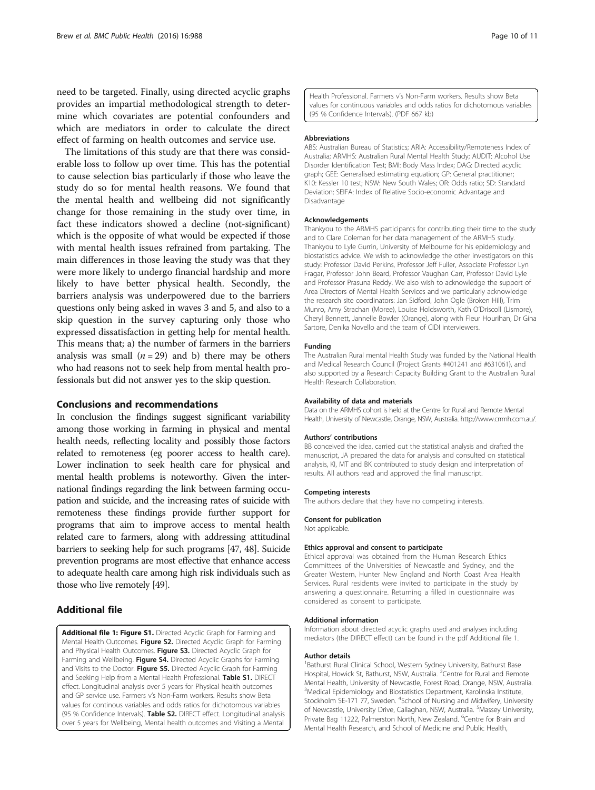<span id="page-9-0"></span>need to be targeted. Finally, using directed acyclic graphs provides an impartial methodological strength to determine which covariates are potential confounders and which are mediators in order to calculate the direct effect of farming on health outcomes and service use.

The limitations of this study are that there was considerable loss to follow up over time. This has the potential to cause selection bias particularly if those who leave the study do so for mental health reasons. We found that the mental health and wellbeing did not significantly change for those remaining in the study over time, in fact these indicators showed a decline (not-significant) which is the opposite of what would be expected if those with mental health issues refrained from partaking. The main differences in those leaving the study was that they were more likely to undergo financial hardship and more likely to have better physical health. Secondly, the barriers analysis was underpowered due to the barriers questions only being asked in waves 3 and 5, and also to a skip question in the survey capturing only those who expressed dissatisfaction in getting help for mental health. This means that; a) the number of farmers in the barriers analysis was small  $(n = 29)$  and b) there may be others who had reasons not to seek help from mental health professionals but did not answer yes to the skip question.

## Conclusions and recommendations

In conclusion the findings suggest significant variability among those working in farming in physical and mental health needs, reflecting locality and possibly those factors related to remoteness (eg poorer access to health care). Lower inclination to seek health care for physical and mental health problems is noteworthy. Given the international findings regarding the link between farming occupation and suicide, and the increasing rates of suicide with remoteness these findings provide further support for programs that aim to improve access to mental health related care to farmers, along with addressing attitudinal barriers to seeking help for such programs [\[47, 48](#page-10-0)]. Suicide prevention programs are most effective that enhance access to adequate health care among high risk individuals such as those who live remotely [\[49\]](#page-10-0).

## Additional file

[Additional file 1: Figure S1.](dx.doi.org/10.1186/s12889-016-3664-y) Directed Acyclic Graph for Farming and Mental Health Outcomes. Figure S2. Directed Acyclic Graph for Farming and Physical Health Outcomes. Figure S3. Directed Acyclic Graph for Farming and Wellbeing. Figure S4. Directed Acyclic Graphs for Farming and Visits to the Doctor. Figure S5. Directed Acyclic Graph for Farming and Seeking Help from a Mental Health Professional. Table S1. DIRECT effect. Longitudinal analysis over 5 years for Physical health outcomes and GP service use. Farmers v's Non-Farm workers. Results show Beta values for continous variables and odds ratios for dichotomous variables (95 % Confidence Intervals). Table S2. DIRECT effect. Longitudinal analysis over 5 years for Wellbeing, Mental health outcomes and Visiting a Mental Health Professional. Farmers v's Non-Farm workers. Results show Beta values for continuous variables and odds ratios for dichotomous variables (95 % Confidence Intervals). (PDF 667 kb)

#### Abbreviations

ABS: Australian Bureau of Statistics; ARIA: Accessibility/Remoteness Index of Australia; ARMHS: Australian Rural Mental Health Study; AUDIT: Alcohol Use Disorder Identification Test; BMI: Body Mass Index; DAG: Directed acyclic graph; GEE: Generalised estimating equation; GP: General practitioner; K10: Kessler 10 test; NSW: New South Wales; OR: Odds ratio; SD: Standard Deviation; SEIFA: Index of Relative Socio-economic Advantage and Disadvantage

#### Acknowledgements

Thankyou to the ARMHS participants for contributing their time to the study and to Clare Coleman for her data management of the ARMHS study. Thankyou to Lyle Gurrin, University of Melbourne for his epidemiology and biostatistics advice. We wish to acknowledge the other investigators on this study: Professor David Perkins, Professor Jeff Fuller, Associate Professor Lyn Fragar, Professor John Beard, Professor Vaughan Carr, Professor David Lyle and Professor Prasuna Reddy. We also wish to acknowledge the support of Area Directors of Mental Health Services and we particularly acknowledge the research site coordinators: Jan Sidford, John Ogle (Broken Hill), Trim Munro, Amy Strachan (Moree), Louise Holdsworth, Kath O'Driscoll (Lismore), Cheryl Bennett, Jannelle Bowler (Orange), along with Fleur Hourihan, Dr Gina Sartore, Denika Novello and the team of CIDI interviewers.

#### Funding

The Australian Rural mental Health Study was funded by the National Health and Medical Research Council (Project Grants #401241 and #631061), and also supported by a Research Capacity Building Grant to the Australian Rural Health Research Collaboration.

#### Availability of data and materials

Data on the ARMHS cohort is held at the Centre for Rural and Remote Mental Health, University of Newcastle, Orange, NSW, Australia. [http://www.crrmh.com.au/.](http://www.crrmh.com.au/)

#### Authors' contributions

BB conceived the idea, carried out the statistical analysis and drafted the manuscript, JA prepared the data for analysis and consulted on statistical analysis, KI, MT and BK contributed to study design and interpretation of results. All authors read and approved the final manuscript.

#### Competing interests

The authors declare that they have no competing interests.

#### Consent for publication

Not applicable.

#### Ethics approval and consent to participate

Ethical approval was obtained from the Human Research Ethics Committees of the Universities of Newcastle and Sydney, and the Greater Western, Hunter New England and North Coast Area Health Services. Rural residents were invited to participate in the study by answering a questionnaire. Returning a filled in questionnaire was considered as consent to participate.

#### Additional information

Information about directed acyclic graphs used and analyses including mediators (the DIRECT effect) can be found in the pdf Additional file 1.

#### Author details

<sup>1</sup>Bathurst Rural Clinical School, Western Sydney University, Bathurst Base Hospital, Howick St, Bathurst, NSW, Australia. <sup>2</sup>Centre for Rural and Remote Mental Health, University of Newcastle, Forest Road, Orange, NSW, Australia. <sup>3</sup>Medical Epidemiology and Biostatistics Department, Karolinska Institute Stockholm SE-171 77, Sweden. <sup>4</sup>School of Nursing and Midwifery, University of Newcastle, University Drive, Callaghan, NSW, Australia. <sup>5</sup>Massey University, Private Bag 11222, Palmerston North, New Zealand. <sup>6</sup>Centre for Brain and Mental Health Research, and School of Medicine and Public Health,